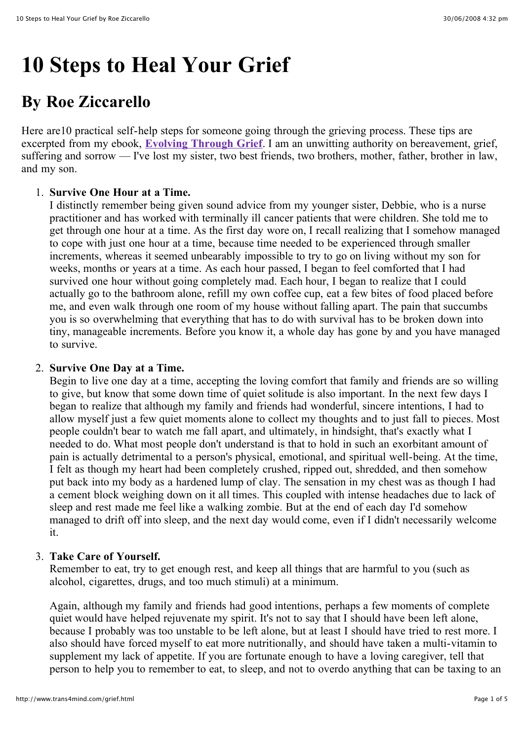# **10 Steps to Heal Your Grief**

# **By Roe Ziccarello**

Here are 10 practical self-help steps for someone going through the grieving process. These tips are excerpted from my ebook, **[Evolving Through Grief](http://www.soundfeelings.com/products/ebooks/grief_loss.htm)**. I am an unwitting authority on bereavement, grief, suffering and sorrow — I've lost my sister, two best friends, two brothers, mother, father, brother in law, and my son.

# 1. **Survive One Hour at a Time.**

I distinctly remember being given sound advice from my younger sister, Debbie, who is a nurse practitioner and has worked with terminally ill cancer patients that were children. She told me to get through one hour at a time. As the first day wore on, I recall realizing that I somehow managed to cope with just one hour at a time, because time needed to be experienced through smaller increments, whereas it seemed unbearably impossible to try to go on living without my son for weeks, months or years at a time. As each hour passed, I began to feel comforted that I had survived one hour without going completely mad. Each hour, I began to realize that I could actually go to the bathroom alone, refill my own coffee cup, eat a few bites of food placed before me, and even walk through one room of my house without falling apart. The pain that succumbs you is so overwhelming that everything that has to do with survival has to be broken down into tiny, manageable increments. Before you know it, a whole day has gone by and you have managed to survive.

#### 2. **Survive One Day at a Time.**

Begin to live one day at a time, accepting the loving comfort that family and friends are so willing to give, but know that some down time of quiet solitude is also important. In the next few days I began to realize that although my family and friends had wonderful, sincere intentions, I had to allow myself just a few quiet moments alone to collect my thoughts and to just fall to pieces. Most people couldn't bear to watch me fall apart, and ultimately, in hindsight, that's exactly what I needed to do. What most people don't understand is that to hold in such an exorbitant amount of pain is actually detrimental to a person's physical, emotional, and spiritual well-being. At the time, I felt as though my heart had been completely crushed, ripped out, shredded, and then somehow put back into my body as a hardened lump of clay. The sensation in my chest was as though I had a cement block weighing down on it all times. This coupled with intense headaches due to lack of sleep and rest made me feel like a walking zombie. But at the end of each day I'd somehow managed to drift off into sleep, and the next day would come, even if I didn't necessarily welcome it.

#### 3. **Take Care of Yourself.**

Remember to eat, try to get enough rest, and keep all things that are harmful to you (such as alcohol, cigarettes, drugs, and too much stimuli) at a minimum.

Again, although my family and friends had good intentions, perhaps a few moments of complete quiet would have helped rejuvenate my spirit. It's not to say that I should have been left alone, because I probably was too unstable to be left alone, but at least I should have tried to rest more. I also should have forced myself to eat more nutritionally, and should have taken a multi-vitamin to supplement my lack of appetite. If you are fortunate enough to have a loving caregiver, tell that person to help you to remember to eat, to sleep, and not to overdo anything that can be taxing to an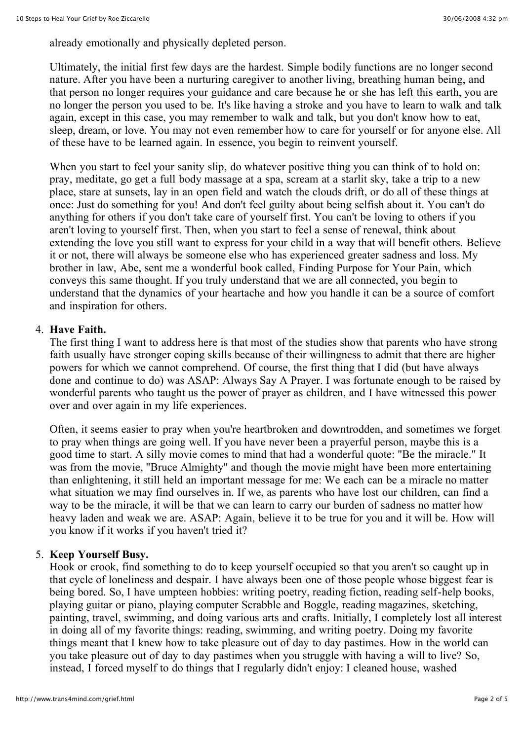already emotionally and physically depleted person.

Ultimately, the initial first few days are the hardest. Simple bodily functions are no longer second nature. After you have been a nurturing caregiver to another living, breathing human being, and that person no longer requires your guidance and care because he or she has left this earth, you are no longer the person you used to be. It's like having a stroke and you have to learn to walk and talk again, except in this case, you may remember to walk and talk, but you don't know how to eat, sleep, dream, or love. You may not even remember how to care for yourself or for anyone else. All of these have to be learned again. In essence, you begin to reinvent yourself.

When you start to feel your sanity slip, do whatever positive thing you can think of to hold on: pray, meditate, go get a full body massage at a spa, scream at a starlit sky, take a trip to a new place, stare at sunsets, lay in an open field and watch the clouds drift, or do all of these things at once: Just do something for you! And don't feel guilty about being selfish about it. You can't do anything for others if you don't take care of yourself first. You can't be loving to others if you aren't loving to yourself first. Then, when you start to feel a sense of renewal, think about extending the love you still want to express for your child in a way that will benefit others. Believe it or not, there will always be someone else who has experienced greater sadness and loss. My brother in law, Abe, sent me a wonderful book called, Finding Purpose for Your Pain, which conveys this same thought. If you truly understand that we are all connected, you begin to understand that the dynamics of your heartache and how you handle it can be a source of comfort and inspiration for others.

#### 4. **Have Faith.**

The first thing I want to address here is that most of the studies show that parents who have strong faith usually have stronger coping skills because of their willingness to admit that there are higher powers for which we cannot comprehend. Of course, the first thing that I did (but have always done and continue to do) was ASAP: Always Say A Prayer. I was fortunate enough to be raised by wonderful parents who taught us the power of prayer as children, and I have witnessed this power over and over again in my life experiences.

Often, it seems easier to pray when you're heartbroken and downtrodden, and sometimes we forget to pray when things are going well. If you have never been a prayerful person, maybe this is a good time to start. A silly movie comes to mind that had a wonderful quote: "Be the miracle." It was from the movie, "Bruce Almighty" and though the movie might have been more entertaining than enlightening, it still held an important message for me: We each can be a miracle no matter what situation we may find ourselves in. If we, as parents who have lost our children, can find a way to be the miracle, it will be that we can learn to carry our burden of sadness no matter how heavy laden and weak we are. ASAP: Again, believe it to be true for you and it will be. How will you know if it works if you haven't tried it?

#### 5. **Keep Yourself Busy.**

Hook or crook, find something to do to keep yourself occupied so that you aren't so caught up in that cycle of loneliness and despair. I have always been one of those people whose biggest fear is being bored. So, I have umpteen hobbies: writing poetry, reading fiction, reading self-help books, playing guitar or piano, playing computer Scrabble and Boggle, reading magazines, sketching, painting, travel, swimming, and doing various arts and crafts. Initially, I completely lost all interest in doing all of my favorite things: reading, swimming, and writing poetry. Doing my favorite things meant that I knew how to take pleasure out of day to day pastimes. How in the world can you take pleasure out of day to day pastimes when you struggle with having a will to live? So, instead, I forced myself to do things that I regularly didn't enjoy: I cleaned house, washed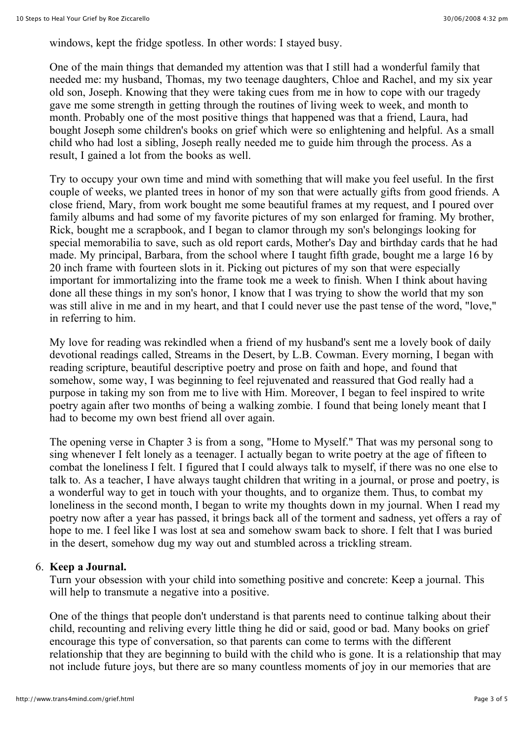windows, kept the fridge spotless. In other words: I stayed busy.

One of the main things that demanded my attention was that I still had a wonderful family that needed me: my husband, Thomas, my two teenage daughters, Chloe and Rachel, and my six year old son, Joseph. Knowing that they were taking cues from me in how to cope with our tragedy gave me some strength in getting through the routines of living week to week, and month to month. Probably one of the most positive things that happened was that a friend, Laura, had bought Joseph some children's books on grief which were so enlightening and helpful. As a small child who had lost a sibling, Joseph really needed me to guide him through the process. As a result, I gained a lot from the books as well.

Try to occupy your own time and mind with something that will make you feel useful. In the first couple of weeks, we planted trees in honor of my son that were actually gifts from good friends. A close friend, Mary, from work bought me some beautiful frames at my request, and I poured over family albums and had some of my favorite pictures of my son enlarged for framing. My brother, Rick, bought me a scrapbook, and I began to clamor through my son's belongings looking for special memorabilia to save, such as old report cards, Mother's Day and birthday cards that he had made. My principal, Barbara, from the school where I taught fifth grade, bought me a large 16 by 20 inch frame with fourteen slots in it. Picking out pictures of my son that were especially important for immortalizing into the frame took me a week to finish. When I think about having done all these things in my son's honor, I know that I was trying to show the world that my son was still alive in me and in my heart, and that I could never use the past tense of the word, "love," in referring to him.

My love for reading was rekindled when a friend of my husband's sent me a lovely book of daily devotional readings called, Streams in the Desert, by L.B. Cowman. Every morning, I began with reading scripture, beautiful descriptive poetry and prose on faith and hope, and found that somehow, some way, I was beginning to feel rejuvenated and reassured that God really had a purpose in taking my son from me to live with Him. Moreover, I began to feel inspired to write poetry again after two months of being a walking zombie. I found that being lonely meant that I had to become my own best friend all over again.

The opening verse in Chapter 3 is from a song, "Home to Myself." That was my personal song to sing whenever I felt lonely as a teenager. I actually began to write poetry at the age of fifteen to combat the loneliness I felt. I figured that I could always talk to myself, if there was no one else to talk to. As a teacher, I have always taught children that writing in a journal, or prose and poetry, is a wonderful way to get in touch with your thoughts, and to organize them. Thus, to combat my loneliness in the second month, I began to write my thoughts down in my journal. When I read my poetry now after a year has passed, it brings back all of the torment and sadness, yet offers a ray of hope to me. I feel like I was lost at sea and somehow swam back to shore. I felt that I was buried in the desert, somehow dug my way out and stumbled across a trickling stream.

#### 6. **Keep a Journal.**

Turn your obsession with your child into something positive and concrete: Keep a journal. This will help to transmute a negative into a positive.

One of the things that people don't understand is that parents need to continue talking about their child, recounting and reliving every little thing he did or said, good or bad. Many books on grief encourage this type of conversation, so that parents can come to terms with the different relationship that they are beginning to build with the child who is gone. It is a relationship that may not include future joys, but there are so many countless moments of joy in our memories that are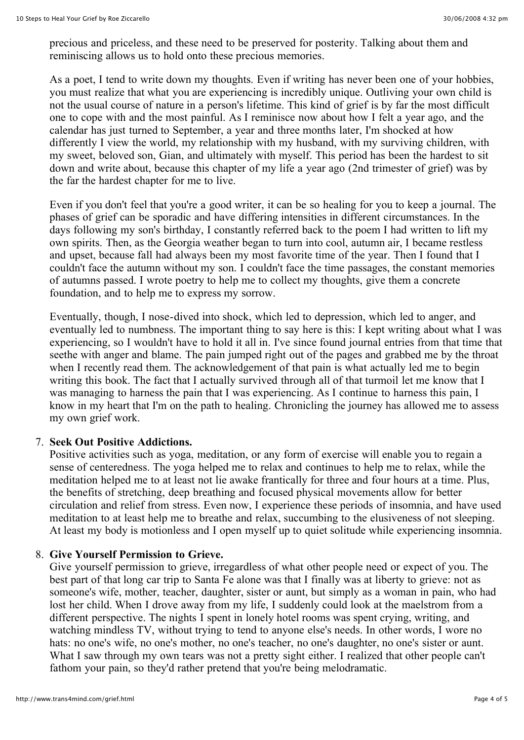precious and priceless, and these need to be preserved for posterity. Talking about them and reminiscing allows us to hold onto these precious memories.

As a poet, I tend to write down my thoughts. Even if writing has never been one of your hobbies, you must realize that what you are experiencing is incredibly unique. Outliving your own child is not the usual course of nature in a person's lifetime. This kind of grief is by far the most difficult one to cope with and the most painful. As I reminisce now about how I felt a year ago, and the calendar has just turned to September, a year and three months later, I'm shocked at how differently I view the world, my relationship with my husband, with my surviving children, with my sweet, beloved son, Gian, and ultimately with myself. This period has been the hardest to sit down and write about, because this chapter of my life a year ago (2nd trimester of grief) was by the far the hardest chapter for me to live.

Even if you don't feel that you're a good writer, it can be so healing for you to keep a journal. The phases of grief can be sporadic and have differing intensities in different circumstances. In the days following my son's birthday, I constantly referred back to the poem I had written to lift my own spirits. Then, as the Georgia weather began to turn into cool, autumn air, I became restless and upset, because fall had always been my most favorite time of the year. Then I found that I couldn't face the autumn without my son. I couldn't face the time passages, the constant memories of autumns passed. I wrote poetry to help me to collect my thoughts, give them a concrete foundation, and to help me to express my sorrow.

Eventually, though, I nose-dived into shock, which led to depression, which led to anger, and eventually led to numbness. The important thing to say here is this: I kept writing about what I was experiencing, so I wouldn't have to hold it all in. I've since found journal entries from that time that seethe with anger and blame. The pain jumped right out of the pages and grabbed me by the throat when I recently read them. The acknowledgement of that pain is what actually led me to begin writing this book. The fact that I actually survived through all of that turmoil let me know that I was managing to harness the pain that I was experiencing. As I continue to harness this pain, I know in my heart that I'm on the path to healing. Chronicling the journey has allowed me to assess my own grief work.

#### 7. **Seek Out Positive Addictions.**

Positive activities such as yoga, meditation, or any form of exercise will enable you to regain a sense of centeredness. The yoga helped me to relax and continues to help me to relax, while the meditation helped me to at least not lie awake frantically for three and four hours at a time. Plus, the benefits of stretching, deep breathing and focused physical movements allow for better circulation and relief from stress. Even now, I experience these periods of insomnia, and have used meditation to at least help me to breathe and relax, succumbing to the elusiveness of not sleeping. At least my body is motionless and I open myself up to quiet solitude while experiencing insomnia.

# 8. **Give Yourself Permission to Grieve.**

Give yourself permission to grieve, irregardless of what other people need or expect of you. The best part of that long car trip to Santa Fe alone was that I finally was at liberty to grieve: not as someone's wife, mother, teacher, daughter, sister or aunt, but simply as a woman in pain, who had lost her child. When I drove away from my life, I suddenly could look at the maelstrom from a different perspective. The nights I spent in lonely hotel rooms was spent crying, writing, and watching mindless TV, without trying to tend to anyone else's needs. In other words, I wore no hats: no one's wife, no one's mother, no one's teacher, no one's daughter, no one's sister or aunt. What I saw through my own tears was not a pretty sight either. I realized that other people can't fathom your pain, so they'd rather pretend that you're being melodramatic.